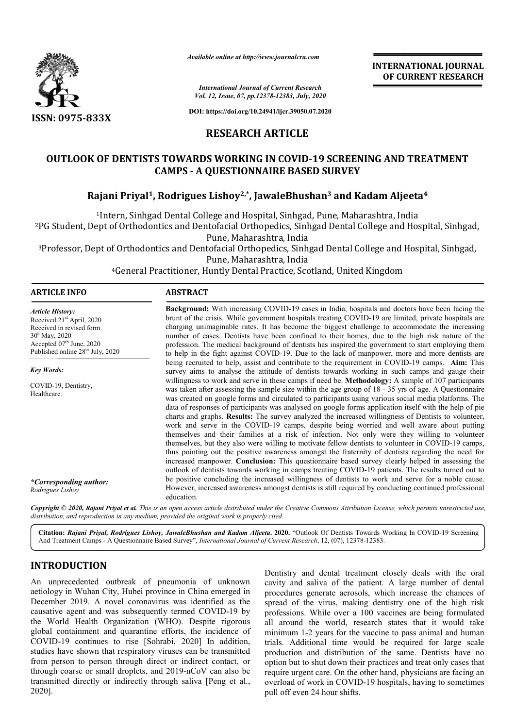

*Available online at http://www.journalcra.com*

# **RESEARCH ARTICLE**

# **OUTLOOK OF DENTISTS TOWARDS WORKING IN COVID-19 SCREENING AND TREATMENT CAMPS - A QUESTIONNAIRE BASED SURVEY** K OF DENTISTS TOWARDS WORKING IN COVID-19 SCREENING AND TRE<br>CAMPS - A QUESTIONNAIRE BASED SURVEY<br>Rajani Priyal<sup>1</sup>, Rodrigues Lishoy<sup>2,\*</sup>, JawaleBhushan<sup>3</sup> and Kadam Aljeeta<sup>4</sup>

|                                                                                                                                                                                                                                                                                                                                                                                                                                                                                                                                                                                                                                                                                                                       |                 | <b>INTERNATIONAL JOURNAL</b><br>OF CURRENT RESEARCH                                                                                                                                                                                                                                                                                                                                                                                                                                                                                                                                                                                                                                                                                                                                                                                                                                                                                                                                                                                                                                                                                                                                                                                                                                                                                                                                                                                                                                                                                                                                                                                                                                                                                                                                                                                                                                                                                                                                                                                                                                                                                                                                                                                                                                                                                                                 |
|-----------------------------------------------------------------------------------------------------------------------------------------------------------------------------------------------------------------------------------------------------------------------------------------------------------------------------------------------------------------------------------------------------------------------------------------------------------------------------------------------------------------------------------------------------------------------------------------------------------------------------------------------------------------------------------------------------------------------|-----------------|---------------------------------------------------------------------------------------------------------------------------------------------------------------------------------------------------------------------------------------------------------------------------------------------------------------------------------------------------------------------------------------------------------------------------------------------------------------------------------------------------------------------------------------------------------------------------------------------------------------------------------------------------------------------------------------------------------------------------------------------------------------------------------------------------------------------------------------------------------------------------------------------------------------------------------------------------------------------------------------------------------------------------------------------------------------------------------------------------------------------------------------------------------------------------------------------------------------------------------------------------------------------------------------------------------------------------------------------------------------------------------------------------------------------------------------------------------------------------------------------------------------------------------------------------------------------------------------------------------------------------------------------------------------------------------------------------------------------------------------------------------------------------------------------------------------------------------------------------------------------------------------------------------------------------------------------------------------------------------------------------------------------------------------------------------------------------------------------------------------------------------------------------------------------------------------------------------------------------------------------------------------------------------------------------------------------------------------------------------------------|
|                                                                                                                                                                                                                                                                                                                                                                                                                                                                                                                                                                                                                                                                                                                       |                 | <b>International Journal of Current Research</b><br>Vol. 12, Issue, 07, pp.12378-12383, July, 2020                                                                                                                                                                                                                                                                                                                                                                                                                                                                                                                                                                                                                                                                                                                                                                                                                                                                                                                                                                                                                                                                                                                                                                                                                                                                                                                                                                                                                                                                                                                                                                                                                                                                                                                                                                                                                                                                                                                                                                                                                                                                                                                                                                                                                                                                  |
| ISSN: 0975-833X                                                                                                                                                                                                                                                                                                                                                                                                                                                                                                                                                                                                                                                                                                       |                 | DOI: https://doi.org/10.24941/ijcr.39050.07.2020                                                                                                                                                                                                                                                                                                                                                                                                                                                                                                                                                                                                                                                                                                                                                                                                                                                                                                                                                                                                                                                                                                                                                                                                                                                                                                                                                                                                                                                                                                                                                                                                                                                                                                                                                                                                                                                                                                                                                                                                                                                                                                                                                                                                                                                                                                                    |
|                                                                                                                                                                                                                                                                                                                                                                                                                                                                                                                                                                                                                                                                                                                       |                 | <b>RESEARCH ARTICLE</b>                                                                                                                                                                                                                                                                                                                                                                                                                                                                                                                                                                                                                                                                                                                                                                                                                                                                                                                                                                                                                                                                                                                                                                                                                                                                                                                                                                                                                                                                                                                                                                                                                                                                                                                                                                                                                                                                                                                                                                                                                                                                                                                                                                                                                                                                                                                                             |
|                                                                                                                                                                                                                                                                                                                                                                                                                                                                                                                                                                                                                                                                                                                       |                 | <b>OUTLOOK OF DENTISTS TOWARDS WORKING IN COVID-19 SCREENING AND TREATMENT</b><br><b>CAMPS - A QUESTIONNAIRE BASED SURVEY</b>                                                                                                                                                                                                                                                                                                                                                                                                                                                                                                                                                                                                                                                                                                                                                                                                                                                                                                                                                                                                                                                                                                                                                                                                                                                                                                                                                                                                                                                                                                                                                                                                                                                                                                                                                                                                                                                                                                                                                                                                                                                                                                                                                                                                                                       |
|                                                                                                                                                                                                                                                                                                                                                                                                                                                                                                                                                                                                                                                                                                                       |                 | Rajani Priyal <sup>1</sup> , Rodrigues Lishoy <sup>2,*</sup> , JawaleBhushan <sup>3</sup> and Kadam Aljeeta <sup>4</sup>                                                                                                                                                                                                                                                                                                                                                                                                                                                                                                                                                                                                                                                                                                                                                                                                                                                                                                                                                                                                                                                                                                                                                                                                                                                                                                                                                                                                                                                                                                                                                                                                                                                                                                                                                                                                                                                                                                                                                                                                                                                                                                                                                                                                                                            |
|                                                                                                                                                                                                                                                                                                                                                                                                                                                                                                                                                                                                                                                                                                                       |                 | <sup>1</sup> Intern, Sinhgad Dental College and Hospital, Sinhgad, Pune, Maharashtra, India<br><sup>2</sup> PG Student, Dept of Orthodontics and Dentofacial Orthopedics, Sinhgad Dental College and Hospital, Sinhgad,<br>Pune, Maharashtra, India<br><sup>3</sup> Professor, Dept of Orthodontics and Dentofacial Orthopedics, Sinhgad Dental College and Hospital, Sinhgad,<br>Pune, Maharashtra, India<br><sup>4</sup> General Practitioner, Huntly Dental Practice, Scotland, United Kingdom                                                                                                                                                                                                                                                                                                                                                                                                                                                                                                                                                                                                                                                                                                                                                                                                                                                                                                                                                                                                                                                                                                                                                                                                                                                                                                                                                                                                                                                                                                                                                                                                                                                                                                                                                                                                                                                                   |
| <b>ARTICLE INFO</b>                                                                                                                                                                                                                                                                                                                                                                                                                                                                                                                                                                                                                                                                                                   | <b>ABSTRACT</b> |                                                                                                                                                                                                                                                                                                                                                                                                                                                                                                                                                                                                                                                                                                                                                                                                                                                                                                                                                                                                                                                                                                                                                                                                                                                                                                                                                                                                                                                                                                                                                                                                                                                                                                                                                                                                                                                                                                                                                                                                                                                                                                                                                                                                                                                                                                                                                                     |
| <b>Article History:</b><br>Received 21st April, 2020<br>Received in revised form<br>$30h$ May, 2020<br>Accepted 07th June, 2020<br>Published online $28^{th}$ July, 2020<br><b>Key Words:</b><br>COVID-19, Dentistry,<br>Healthcare.<br>*Corresponding author:<br>Rodrigues Lishoy<br>distribution, and reproduction in any medium, provided the original work is properly cited.                                                                                                                                                                                                                                                                                                                                     | education.      | Background: With increasing COVID-19 cases in India, hospitals and doctors have been facing the<br>brunt of the crisis. While government hospitals treating COVID-19 are limited, private hospitals are<br>charging unimaginable rates. It has become the biggest challenge to accommodate the increasing<br>number of cases. Dentists have been confined to their homes, due to the high risk nature of the<br>profession. The medical background of dentists has inspired the government to start employing them<br>to help in the fight against COVID-19. Due to the lack of manpower, more and more dentists are<br>being recruited to help, assist and contribute to the requirement in COVID-19 camps. Aim: This<br>survey aims to analyse the attitude of dentists towards working in such camps and gauge their<br>willingness to work and serve in these camps if need be. Methodology: A sample of 107 participants<br>was taken after assessing the sample size within the age group of 18 - 35 yrs of age. A Questionnaire<br>was created on google forms and circulated to participants using various social media platforms. The<br>data of responses of participants was analysed on google forms application itself with the help of pie<br>charts and graphs. Results: The survey analyzed the increased willingness of Dentists to volunteer,<br>work and serve in the COVID-19 camps, despite being worried and well aware about putting<br>themselves and their families at a risk of infection. Not only were they willing to volunteer<br>themselves, but they also were willing to motivate fellow dentists to volunteer in COVID-19 camps,<br>thus pointing out the positive awareness amongst the fraternity of dentists regarding the need for<br>increased manpower. Conclusion: This questionnaire based survey clearly helped in assessing the<br>outlook of dentists towards working in camps treating COVID-19 patients. The results turned out to<br>be positive concluding the increased willingness of dentists to work and serve for a noble cause.<br>However, increased awareness amongst dentists is still required by conducting continued professional<br>Copyright © 2020, Rajani Priyal et al. This is an open access article distributed under the Creative Commons Attribution License, which permits unrestricted use, |
|                                                                                                                                                                                                                                                                                                                                                                                                                                                                                                                                                                                                                                                                                                                       |                 | Citation: Rajani Priyal, Rodrigues Lishoy, JawaleBhushan and Kadam Aljeeta. 2020. "Outlook Of Dentists Towards Working In COVID-19 Screening<br>And Treatment Camps - A Questionnaire Based Survey", International Journal of Current Research, 12, (07), 12378-12383.                                                                                                                                                                                                                                                                                                                                                                                                                                                                                                                                                                                                                                                                                                                                                                                                                                                                                                                                                                                                                                                                                                                                                                                                                                                                                                                                                                                                                                                                                                                                                                                                                                                                                                                                                                                                                                                                                                                                                                                                                                                                                              |
| <b>INTRODUCTION</b><br>An unprecedented outbreak of pneumonia of unknown<br>aetiology in Wuhan City, Hubei province in China emerged in<br>December 2019. A novel coronavirus was identified as the<br>causative agent and was subsequently termed COVID-19 by<br>the World Health Organization (WHO). Despite rigorous<br>global containment and quarantine efforts, the incidence of<br>COVID-19 continues to rise [Sohrabi, 2020] In addition,<br>studies have shown that respiratory viruses can be transmitted<br>from person to person through direct or indirect contact, or<br>through coarse or small droplets, and 2019-nCoV can also be<br>transmitted directly or indirectly through saliva [Peng et al., |                 | Dentistry and dental treatment closely deals with the oral<br>cavity and saliva of the patient. A large number of dental<br>procedures generate aerosols, which increase the chances of<br>spread of the virus, making dentistry one of the high risk<br>professions. While over a 100 vaccines are being formulated<br>all around the world, research states that it would take<br>minimum 1-2 years for the vaccine to pass animal and human<br>trials. Additional time would be required for large scale<br>production and distribution of the same. Dentists have no<br>option but to shut down their practices and treat only cases that<br>require urgent care. On the other hand, physicians are facing an<br>overload of work in COVID-19 hospitals, having to sometimes                                                                                                                                                                                                                                                                                                                                                                                                                                                                                                                                                                                                                                                                                                                                                                                                                                                                                                                                                                                                                                                                                                                                                                                                                                                                                                                                                                                                                                                                                                                                                                                    |

# **INTRODUCTION**

An unprecedented outbreak of pneumonia of unknown aetiology in Wuhan City, Hubei province in China emerged in December 2019. A novel coronavirus was identified as the causative agent and was subsequently termed COVID-19 by the World Health Organization (WHO). Despite rigorous global containment and quarantine efforts, the incidence of COVID-19 continues to rise [Sohrabi, 2020] In addition, studies have shown that respiratory viruses can be transmitted from person to person through direct or indirect contact, or through coarse or small droplets, and 2019-nCoV can also be transmitted directly or indirectly through saliva [Peng et al., 2020]. atory viruses can be transmitted<br>th direct or indirect contact, or<br>ets, and 2019-nCoV can also be Dentistry and dental treatment closely deals with the oral cavity and saliva of the patient. A large number of dental procedures generate aerosols, which increase the chances of spread of the virus, making dentistry one of the high risk Dentistry and dental treatment closely deals with the oral cavity and saliva of the patient. A large number of dental procedures generate aerosols, which increase the chances of spread of the virus, making dentistry one of all around the world, research states that it would take minimum 1-2 years for the vaccine to pass animal and human trials. Additional time would be required for large scale production and distribution of the same. Dentists have no option but to shut down their practices and treat only cases that require urgent care. On the other hand, physicians are facing an overload of work in COVID-19 hospitals, having to sometimes pull off even 24 hour shifts.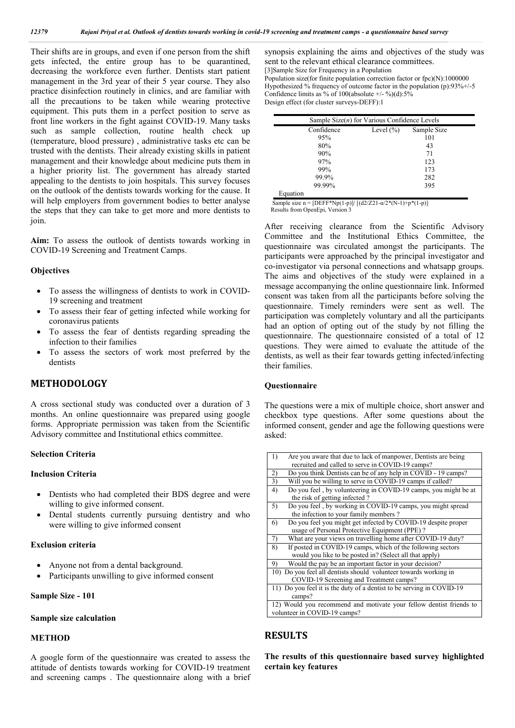Their shifts are in groups, and even if one person from the shift gets infected, the entire group has to be quarantined, decreasing the workforce even further. Dentists start patient management in the 3rd year of their 5 year course. They also practice disinfection routinely in clinics, and are familiar with all the precautions to be taken while wearing protective equipment. This puts them in a perfect position to serve as front line workers in the fight against COVID-19. Many tasks such as sample collection, routine health check up (temperature, blood pressure) , administrative tasks etc can be trusted with the dentists. Their already existing skills in patient management and their knowledge about medicine puts them in a higher priority list. The government has already started appealing to the dentists to join hospitals. This survey focuses on the outlook of the dentists towards working for the cause. It will help employers from government bodies to better analyse the steps that they can take to get more and more dentists to join.

**Aim:** To assess the outlook of dentists towards working in COVID-19 Screening and Treatment Camps.

#### **Objectives**

- To assess the willingness of dentists to work in COVID-19 screening and treatment
- To assess their fear of getting infected while working for coronavirus patients
- To assess the fear of dentists regarding spreading the infection to their families
- To assess the sectors of work most preferred by the dentists

# **METHODOLOGY**

A cross sectional study was conducted over a duration of 3 months. An online questionnaire was prepared using google forms. Appropriate permission was taken from the Scientific Advisory committee and Institutional ethics committee.

#### **Selection Criteria**

#### **Inclusion Criteria**

- Dentists who had completed their BDS degree and were willing to give informed consent.
- Dental students currently pursuing dentistry and who were willing to give informed consent

#### **Exclusion criteria**

- Anyone not from a dental background.
- Participants unwilling to give informed consent

#### **Sample Size - 101**

#### **Sample size calculation**

#### **METHOD**

A google form of the questionnaire was created to assess the attitude of dentists towards working for COVID-19 treatment and screening camps . The questionnaire along with a brief synopsis explaining the aims and objectives of the study was sent to the relevant ethical clearance committees. [3]Sample Size for Frequency in a Population Population size(for finite population correction factor or fpc)(N):1000000 Hypothesized % frequency of outcome factor in the population (p):93%+/-5 Confidence limits as % of 100(absolute  $+/-$ %)(d):5%

Design effect (for cluster surveys-DEFF):1

| Sample Size( $n$ ) for Various Confidence Levels |               |             |  |  |
|--------------------------------------------------|---------------|-------------|--|--|
| Confidence                                       | Level $(\% )$ | Sample Size |  |  |
| 95%                                              |               | 101         |  |  |
| 80%                                              |               | 43          |  |  |
| 90%                                              |               | 71          |  |  |
| 97%                                              |               | 123         |  |  |
| 99%                                              | 173           |             |  |  |
| 99.9%                                            |               | 282         |  |  |
| 99.99%                                           |               | 395         |  |  |
| Equation                                         |               |             |  |  |

Sample size n =  $[DEF*Np(1-p)]/ [(d2/Z21-\alpha/2*(N-1)+p*(1-p)]$ Results from OpenEpi, Version 3

After receiving clearance from the Scientific Advisory Committee and the Institutional Ethics Committee, the questionnaire was circulated amongst the participants. The participants were approached by the principal investigator and co-investigator via personal connections and whatsapp groups. The aims and objectives of the study were explained in a message accompanying the online questionnaire link. Informed consent was taken from all the participants before solving the questionnaire. Timely reminders were sent as well. The participation was completely voluntary and all the participants had an option of opting out of the study by not filling the questionnaire. The questionnaire consisted of a total of 12 questions. They were aimed to evaluate the attitude of the dentists, as well as their fear towards getting infected/infecting their families.

#### **Questionnaire**

The questions were a mix of multiple choice, short answer and checkbox type questions. After some questions about the informed consent, gender and age the following questions were asked:

| $_{1}$<br>Are you aware that due to lack of manpower, Dentists are being |  |  |
|--------------------------------------------------------------------------|--|--|
| recruited and called to serve in COVID-19 camps?                         |  |  |
| Do you think Dentists can be of any help in COVID - 19 camps?<br>2)      |  |  |
| Will you be willing to serve in COVID-19 camps if called?<br>3)          |  |  |
| Do you feel, by volunteering in COVID-19 camps, you might be at<br>4)    |  |  |
| the risk of getting infected?                                            |  |  |
| Do you feel, by working in COVID-19 camps, you might spread<br>5)        |  |  |
| the infection to your family members?                                    |  |  |
| Do you feel you might get infected by COVID-19 despite proper<br>6)      |  |  |
| usage of Personal Protective Equipment (PPE)?                            |  |  |
| 7)<br>What are your views on travelling home after COVID-19 duty?        |  |  |
| If posted in COVID-19 camps, which of the following sectors<br>8)        |  |  |
| would you like to be posted in? (Select all that apply)                  |  |  |
| Would the pay be an important factor in your decision?<br>9)             |  |  |
| 10) Do you feel all dentists should volunteer towards working in         |  |  |
| COVID-19 Screening and Treatment camps?                                  |  |  |
| 11) Do you feel it is the duty of a dentist to be serving in COVID-19    |  |  |
| camps?                                                                   |  |  |
| 12) Would you recommend and motivate your fellow dentist friends to      |  |  |
| volunteer in COVID-19 camps?                                             |  |  |

## **RESULTS**

**The results of this questionnaire based survey highlighted certain key features**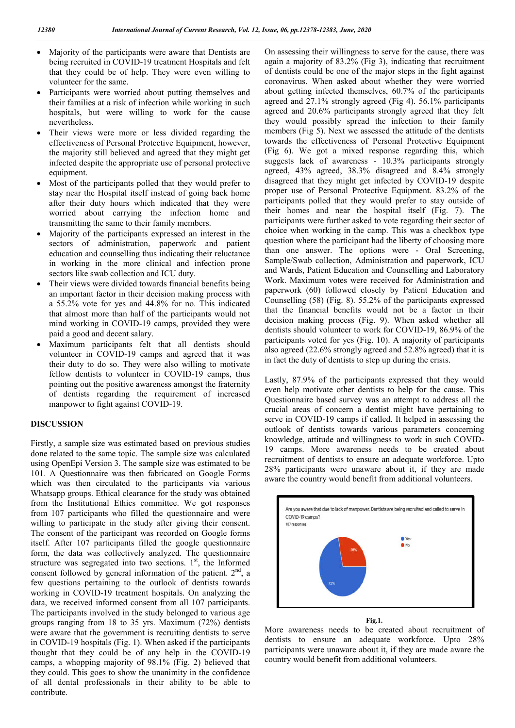- Majority of the participants were aware that Dentists are being recruited in COVID-19 treatment Hospitals and felt that they could be of help. They were even willing to volunteer for the same.
- Participants were worried about putting themselves and their families at a risk of infection while working in such hospitals, but were willing to work for the cause nevertheless.
- Their views were more or less divided regarding the effectiveness of Personal Protective Equipment, however, the majority still believed and agreed that they might get infected despite the appropriate use of personal protective equipment. recruited in COVID-19 treatment Hospitals and felt<br>ey could be of help. They were even willing to<br>eer for the same.<br>pants were worried about putting themselves and<br>milies at a risk of infection while working in such<br>ls, bu
- Most of the participants polled that they would prefer to stay near the Hospital itself instead of going back home after their duty hours which indicated that they were worried about carrying the infection home and transmitting the same to their family members.
- Majority of the participants expressed an interest in the sectors of administration, paperwork and patient education and counselling thus indicating their reluctance in working in the more clinical and infection prone sectors like swab collection and ICU duty.
- Their views were divided towards financial benefits being an important factor in their decision making process with a 55.2% vote for yes and 44.8% for no. This indicated that almost more than half of the partic participants would not mind working in COVID-19 camps, provided they were paid a good and decent salary.
- Maximum participants felt that all dentists should volunteer in COVID-19 camps and agreed that it was their duty to do so. They were also willing to motivate mind working in COVID-19 camps, provided they were<br>paid a good and decent salary.<br>Maximum participants felt that all dentists should<br>volunteer in COVID-19 camps and agreed that it was<br>their duty to do so. They were also wi pointing out the positive awareness amongst the fraternity of dentists regarding the requirement of increased manpower to fight against COVID-19.

#### **DISCUSSION**

Firstly, a sample size was estimated based on previous studies done related to the same topic. The sample size was calculated using OpenEpi Version 3. The sample size was estimated to be 101. A Questionnaire was then fabricated on Google Forms which was then circulated to the participants via various Whatsapp groups. Ethical clearance for the study was obtained from the Institutional Ethics committee. We got responses from 107 participants who filled the questionnaire and were willing to participate in the study after giving their consent. The consent of the participant was recorded on Google forms itself. After 107 participants filled the google questionnaire form, the data was collectively analyzed. The questionnaire The consent of the participant was recorded on Google forms itself. After 107 participants filled the google questionnaire form, the data was collectively analyzed. The questionnaire structure was segregated into two sect consent followed by general information of the patient.  $2<sup>nd</sup>$ , a few questions pertaining to the outlook of dentists towards working in COVID-19 treatment hospitals. On analyzing the data, we received informed consent from all 107 participants. The participants involved in the study belonged to various age groups ranging from 18 to 35 yrs. Maximum (72%) dentists were aware that the government is recruiting dentists to serve in COVID-19 hospitals (Fig. 1). When asked if the participants thought that they could be of any help in the COVID-19 camps, a whopping majority of 98.1% (Fig. 2) believed that they could. This goes to show the unanimity in the confidence of all dental professionals in their ability to be able to contribute. COVID-19 treatment hospitals. On analyzing the<br>ceived informed consent from all 107 participants.<br>pants involved in the study belonged to various age<br>ging from 18 to 35 yrs. Maximum (72%) dentists<br>that the government is re

On assessing their willingness to serve for the cause, there was again a majority of 83.2% (Fig 3), indicating that recruitment of dentists could be one of the major steps in the fight against coronavirus. When asked about whether they were worried about getting infected themselves, 60.7% of the particip agreed and 27.1% strongly agreed (Fig 4). 56.1% participants agreed and 20.6% participants strongly agreed that they felt they would possibly spread the infection to their family members (Fig 5). Next we assessed the attitude of the dentists towards the effectiveness of Personal Protective Equipment (Fig 6). We got a mixed response regarding this, which agreed and 27.1% strongly agreed (Fig 4). 56.1% participants agreed and 20.6% participants strongly agreed that they felt they would possibly spread the infection to their family members (Fig 5). Next we assessed the attit agreed, 43% agreed, 38.3% disagreed and 8.4% strongly agreed, 43% agreed, 38.3% disagreed and 8.4% strongly disagreed that they might get infected by COVID-19 despite proper use of Personal Protective Equipment. 83.2% of the participants polled that they would prefer to stay outside of their homes and near the hospital itself (Fig. 7). The proper use of Personal Protective Equipment. 83.2% of the participants polled that they would prefer to stay outside of their homes and near the hospital itself (Fig. 7). The participants were further asked to vote regardi choice when working in the camp. This was a checkbox type question where the participant had the liberty of choosing more choice when working in the camp. This was a checkbox type question where the participant had the liberty of choosing more than one answer. The options were - Oral Screening, Sample/Swab collection, Administration and paperwork, ICU and Wards, Patient Education and Counselling and Laboratory Work. Maximum votes were received for Administration and paperwork (60) followed closely by Patient Education and Counselling (58) (Fig. 8). 55.2% of the participants expressed that the financial benefits would not be a factor in their decision making process (Fig. 9). When asked whether all decision making process (Fig. 9). When asked whether all dentists should volunteer to work for COVID-19, 86.9% of the participants voted for yes (Fig. 10). A majority of participants participants voted for yes (Fig. 10). A majority of participants also agreed (22.6% strongly agreed and 52.8% agreed) that it is in fact the duty of dentists to step up during the crisis. ian a majority of 83.2% (Fig 3), indicating that recruitment dentists could be one of the major steps in the fight against conavirus. When asked about whether they were worried out getting infected themselves, 60.7% of the Sample/Swab collection, Administration and paperwork, ICU and Wards, Patient Education and Counselling and Laboratory Work. Maximum votes were received for Administration and paperwork (60) followed closely by Patient Educ

Lastly, 87.9% of the participants expressed that they would even help motivate other dentists to help for the cause. This Questionnaire based survey was an attempt to address all the crucial areas of concern a dentist might have pertaining to serve in COVID-19 camps if called. It helped in assessing the outlook of dentists towards various parameters concerning in fact the duty of dentists to step up during the crisis.<br>Lastly, 87.9% of the participants expressed that they would<br>even help motivate other dentists to help for the cause. This<br>Questionnaire based survey was an attempt 19 camps. More awareness needs to be created about recruitment of dentists to ensure an adequate workforce. Upto 19 camps. More awareness needs to be created about recruitment of dentists to ensure an adequate workforce. Upto 28% participants were unaware about it, if they are made aware the country would benefit from additional volunteers.



More awareness needs to be created about recruitment of dentists to ensure an adequate workforce. Upto 28% participants were unaware about it, if they are made aware the country would benefit from additional volunteers to ensure an adequate workforce. Upto 28% ants were unaware about it, if they are made aware the would benefit from additional volunteers.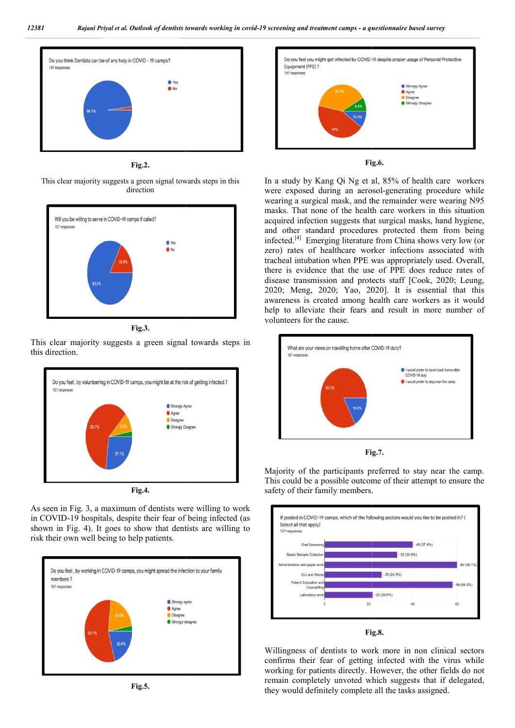

**Fig.2.**

This clear majority suggests a green signal toward towards steps in this direction



**Fig.3.**

This clear majority suggests a green signal towards steps in this direction.



**Fig.4.**

As seen in Fig. 3, a maximum of dentists were willing to work in COVID-19 hospitals, despite their fear of being infected (as shown in Fig. 4). It goes to show that dentists are willing to risk their own well being to help patients.









In a study by Kang Qi Ng et al, 85% of health care workers In a study by Kang Qi Ng et al, 85% of health care workers were exposed during an aerosol-generating procedure while wearing a surgical mask, and the remainder were wearing N95 masks. That none of the health care workers in this situation acquired infection suggests that surgical masks, hand hygiene, and other standard procedures protected them from being infected.[4] Emerging literature from China shows very low (or zero) rates of healthcare worker infections associated with tracheal intubation when PPE was appropriately used. Overall, there is evidence that the use of PPE does reduce rates of disease transmission and protects staff [Cook, 2020; Leung, 2020; Meng, 2020; Yao, 2020]. It is essential that this awareness is created among health care workers as it would help to alleviate their fears and result in more number of volunteers for the cause. wearing a surgical mask, and the remainder were wearing N95 masks. That none of the health care workers in this situation acquired infection suggests that surgical masks, hand hygiene, and other standard procedures protect 2020; Meng, 2020; Yao, 2020]. It is essential that this awareness is created among health care workers as it would help to alleviate their fears and result in more number of



**Fig. Fig.7.**

Majority of the participants preferred to stay near the camp.<br>This could be a possible outcome of their attempt to ensure the This could be a possible outcome of their attempt to ensure the safety of their family members.



**Fig. Fig.8.**

Willingness of dentists to work more in non clinical sectors confirms their fear of getting infected with the virus while working for patients directly. However, the other fields do not working for patients directly. However, the other fields do not remain completely unvoted which suggests that if delegated, they would definitely complete all the tasks assigned.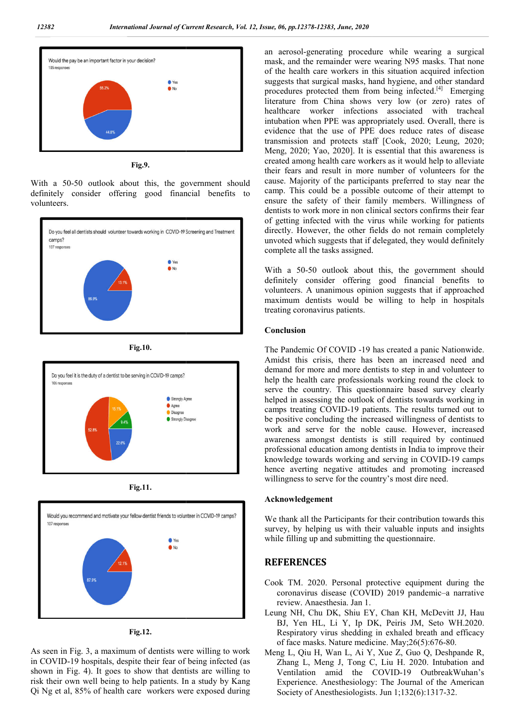

**Fig.9.**

With a 50-50 outlook about this, the government should definitely consider offering good financial benefits to volunteers.



**Fig.10.**



**Fig.11.**





As seen in Fig. 3, a maximum of dentists were willing to work in COVID-19 hospitals, despite their fear of being infected (as shown in Fig. 4). It goes to show that dentists are willing to risk their own well being to help patients. In a study by Kang Qi Ng et al, 85% of health care workers were exposed during

**19 are not proposed by the control in the sure of the sure of the sure of the sure of the sure of the sure of the sure of the sure of the sure of the sure of the sure of the sure of the sure of the sure of the sure of th** mask, and the remainder were wearing N95 masks. That none of the health care workers in this situation acquired infection suggests that surgical masks, hand hygiene, and other standard procedures protected them from being infected.<sup>[4]</sup> Emerging literature from China shows very low (or zero) rates of healthcare worker infections associated with tracheal intubation when PPE was appropriately used. Overall, there is evidence that the use of PPE does reduce rates of disease intubation when PPE was appropriately used. Overall, there is evidence that the use of PPE does reduce rates of disease transmission and protects staff [Cook, 2020; Leung, 2020; Meng, 2020; Yao, 2020]. It is essential that this awareness is created among health care workers as it would help to alleviate their fears and result in more number of volunteers for the cause. Majority of the participants preferred to stay near the camp. This could be a possible outcome of their attempt to ensure the safety of their family members. Willingness of dentists to work more in non clinical sectors confirms their fear of getting infected with the virus while working for patients directly. However, the other fields do not remain completely unvoted which suggests that if delegated, they would definitely complete all the tasks assigned. an aerosol-generating procedure while wearing a surgical mask, and the remainder were wearing N95 masks. That none of the health care workers in this situation acquired infection suggests that surgical masks, hand hygiene, created among health care workers as it would help to alleviate<br>their fears and result in more number of volunteers for the<br>cause. Majority of the participants preferred to stay near the<br>camp. This could be a possible outc trists to work more in non clinical sectors confirms their fear<br>getting infected with the virus while working for patients<br>ectly. However, the other fields do not remain completely<br>voted which suggests that if delegated, t

With a 50-50 outlook about this, the government should definitely consider offering good financial benefits to volunteers. A unanimous opinion suggests that if approached maximum dentists would be willing to help in hospitals treating coronavirus patients.

#### **Conclusion**

The Pandemic Of COVID -19 has created a panic Nationwide. Amidst this crisis, there has been an increased need and demand for more and more dentists to step in and volunteer to help the health care professionals working round the clock to serve the country. This questionnaire based survey clearly helped in assessing the outlook of dentists towards working in camps treating COVID-19 patients. The results turned out to be positive concluding the increased willingness of dentists to work and serve for the noble cause. However, increased awareness amongst dentists is still required by continued professional education among dentists in India to improve their knowledge towards working and serving in COVID hence averting negative attitudes and promoting increased willingness to serve for the country's most dire need. r more and more dentists to step in and volunteer to<br>ealth care professionals working round the clock to<br>country. This questionnaire based survey clearly<br>ssessing the outlook of dentists towards working in ating COVID-19 patients. The results turned out to<br>e concluding the increased willingness of dentists to<br>serve for the noble cause. However, increased<br>amongst dentists is still required by continued<br>al education among dent

### **Acknowledgement**

We thank all the Participants for their contribution towards this survey, by helping us with their valuable inputs and insights while filling up and submitting the questionnaire. negative attitudes and promoting increased<br>serve for the country's most dire need.<br>**he Participants** for their contribution towards this<br>lping us with their valuable inputs and insights<br>pand submitting the questionnaire.<br>

# **REFERENCES**

- Cook TM. 2020. Personal protective equipment during the coronavirus disease (COVID) 2019 pandemic review. Anaesthesia. Jan 1.
- Leung NH, Chu DK, Shiu EY, Chan KH, McDevitt JJ, Hau BJ, Yen HL, Li Y, Ip DK, Peiris JM, Seto WH.2020. BJ, Yen HL, Li Y, Ip DK, Peiris JM, Seto WH.2020. Respiratory virus shedding in exhaled breath and efficacy of face masks. Nature medicine. May;26(5):676-80.
- Meng L, Qiu H, Wan L, Ai Y, Xue Z, Guo Q, Deshpande R, Zhang L, Meng J, Tong C, Liu H. 2020. Intubation and Ventilation amid the COVID-19 OutbreakWuhan's Experience. Anesthesiology: The Journal of the American Society of Anesthesiologists. Jun 1;132(6):1317-32. Society of Anesthesiologists. Jun 1;132(6):1317-32.